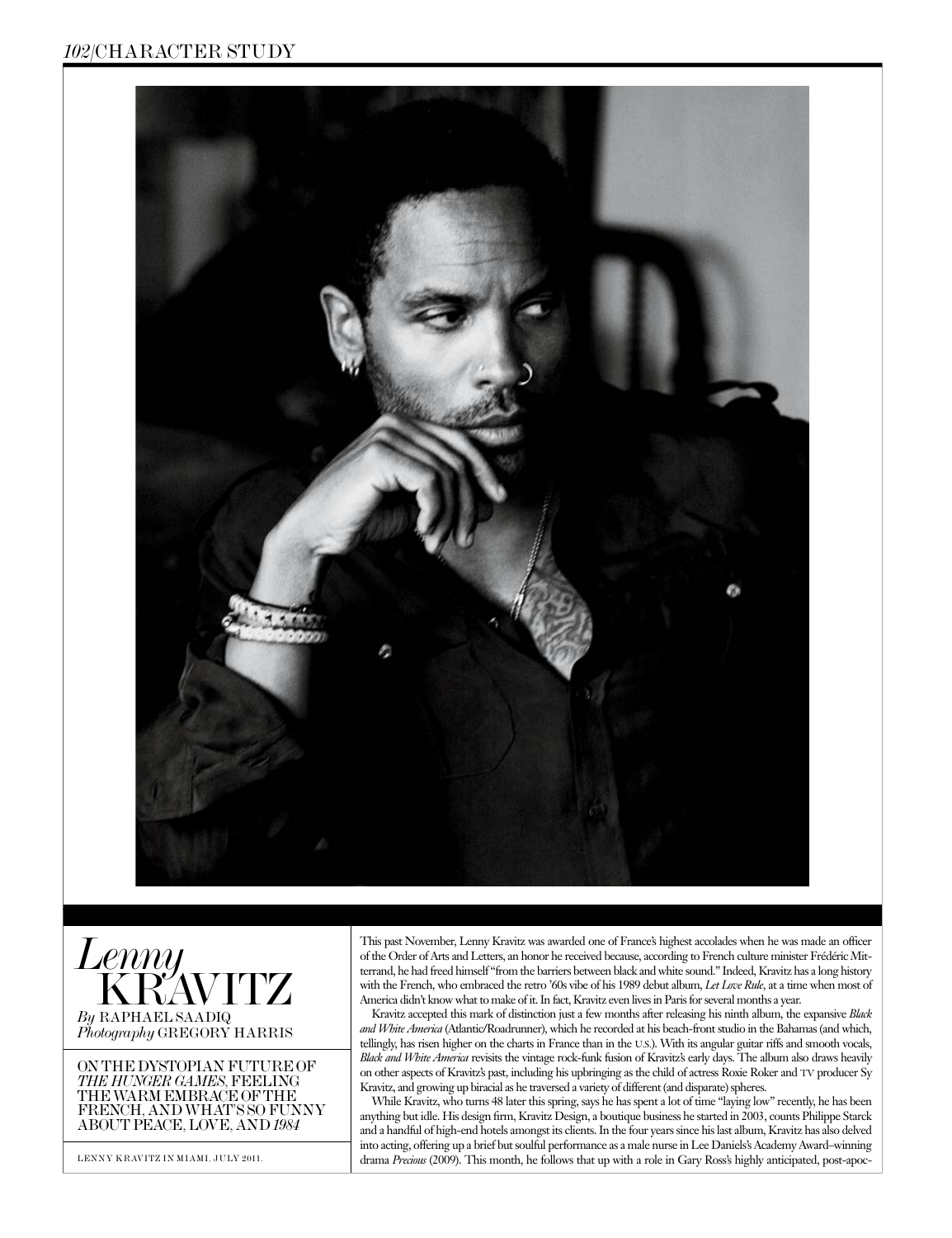

*Lenny* KRAVITZ *By* raPHael saadiq *Photography* GREGORY HARRIS

ON THE DYSTOPIAN FUTURE OF *The Hunger Games*, feeling the warm embrace of the French, and what'sso funny aboutpeace, love, and*1984*

This past November, Lenny Kravitz was awarded one of France's highest accolades when he was made an officer of the Order of Arts and Letters, an honor he received because, according to French culture minister Frédéric Mitterrand, he had freed himself "from the barriers between black and white sound." Indeed, Kravitz has a long history with the French, who embraced the retro '60s vibe of his 1989 debut album, *Let Love Rule*, at a time when most of America didn't know what to make of it. In fact, Kravitz even lives in Paris for several months a year.

Kravitz accepted this mark of distinction just a few months after releasing his ninth album, the expansive *Black and White America* (Atlantic/Roadrunner), which he recorded at his beach-front studio in the Bahamas (and which, tellingly, has risen higher on the charts in France than in the U.S.). With its angular guitar riffs and smooth vocals, *Black and White America* revisits the vintage rock-funk fusion of Kravitz's early days. The album also draws heavily on other aspects of Kravitz's past, including his upbringing as the child of actress Roxie Roker and TV producer Sy Kravitz, and growing up biracial as he traversed a variety of different (and disparate) spheres.

While Kravitz, who turns 48 later this spring, says he has spent a lot of time "laying low" recently, he has been anything but idle. His design firm, Kravitz Design, a boutique business he started in 2003, counts Philippe Starck and a handful of high-end hotels amongst its clients. In the four years since his last album, Kravitz has also delved into acting, offering up a brief but soulful performance as a male nurse in Lee Daniels's Academy Award–winning LENNY KRAVITZ IN MIAMI, JULY 2011. <sup>drama</sup> *Precious* (2009). This month, he follows that up with a role in Gary Ross's highly anticipated, post-apoc-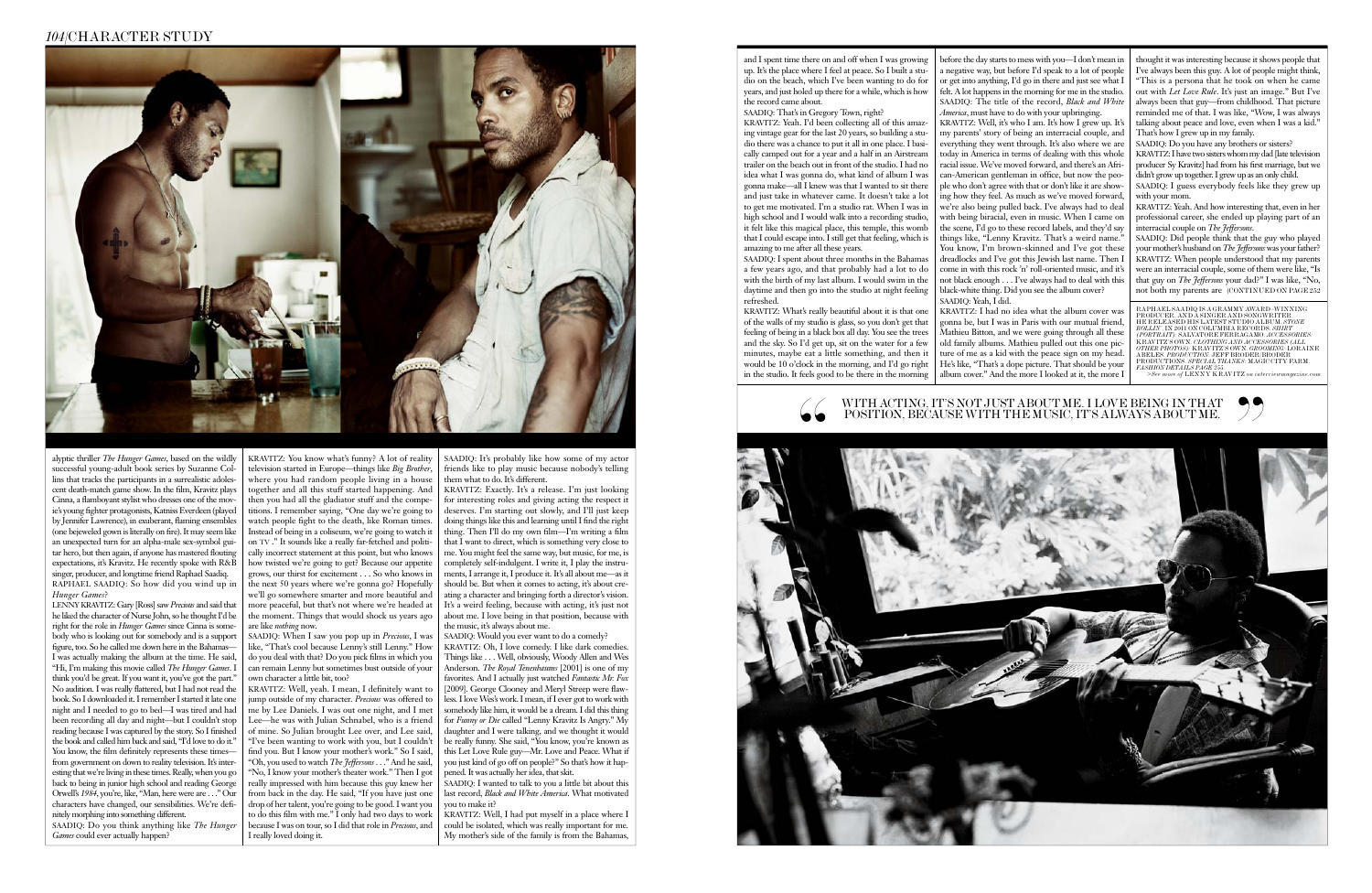and I spent time there on and off when I was growing up. It's the place where I feel at peace. So I built a studio on the beach, which I've been wanting to do for years, and just holed up there for a while, which is how the record came about.

SAADIQ: That's in Gregory Town, right? KRAVITZ: Yeah. I'd been collecting all of this amazing vintage gear for the last 20 years, so building a studio there was a chance to put it all in one place. I basically camped out for a year and a half in an Airstream trailer on the beach out in front of the studio. I had no idea what I was gonna do, what kind of album I was gonna make—all I knew was that I wanted to sit there and just take in whatever came. It doesn't take a lot to get me motivated. I'm a studio rat. When I was in high school and I would walk into a recording studio, it felt like this magical place, this temple, this womb that I could escape into. I still get that feeling, which is amazing to me after all these years. SAADIQ: I spent about three months in the Bahamas a few years ago, and that probably had a lot to do with the birth of my last album. I would swim in the daytime and then go into the studio at night feeling refreshed. KRAVITZ: Well, it's who I am. It's how I grew up. It's my parents' story of being an interracial couple, and everything they went through. It's also where we are today in America in terms of dealing with this whole racial issue. We've moved forward, and there's an African-American gentleman in office, but now the people who don't agree with that or don't like it are showing how they feel. As much as we've moved forward, we're also being pulled back. I've always had to deal with being biracial, even in music. When I came on the scene, I'd go to these record labels, and they'd say things like, "Lenny Kravitz. That's a weird name." You know, I'm brown-skinned and I've got these dreadlocks and I've got this Jewish last name. Then I come in with this rock 'n' roll-oriented music, and it's not black enough . . . I've always had to deal with this black-white thing. Did you see the album cover? SAADIQ: Yeah, I did. talking about peace and love, even when I was a kid." That's how I grew up in my family. SAADIQ: Do you have any brothers or sisters? KRAVITZ: I have two sisters whom my dad [late television producer Sy Kravitz] had from his first marriage, but we didn't grow up together. I grew up as an only child. SAADIQ: I guess everybody feels like they grew up with your mom. KRAVITZ: Yeah. And how interesting that, even in her professional career, she ended up playing part of an interracial couple on *The Jeffersons*. SAADIQ: Did people think that the guy who played your mother's husband on *The Jeffersons* was your father? KRAVITZ: When people understood that my parents were an interracial couple, some of them were like, "Is that guy on *The Jeffersons* your dad?" I was like, "No, not both my parents are (CONTINUED ON PAGE 252

before the day starts to mess with you—I don't mean in a negative way, but before I'd speak to a lot of people or get into anything, I'd go in there and just see what I felt. A lot happens in the morning for me in the studio. SAADIQ: The title of the record, *Black and White America*, must have to do with your upbringing.

KRAVITZ: What's really beautiful about it is that one of the walls of my studio is glass, so you don't get that feeling of being in a black box all day. You see the trees and the sky. So I'd get up, sit on the water for a few minutes, maybe eat a little something, and then it would be 10 o'clock in the morning, and I'd go right in the studio. It feels good to be there in the morning KRAVITZ: I had no idea what the album cover was gonna be, but I was in Paris with our mutual friend, Mathieu Bitton, and we were going through all these old family albums. Mathieu pulled out this one picture of me as a kid with the peace sign on my head. He's like, "That's a dope picture. That should be your album cover." And the more I looked at it, the more I



SAADIQ: Do you think anything like *The Hunger Games* could ever actually happen?

thought it was interesting because it shows people that I've always been this guy. A lot of people might think, "This is a persona that he took on when he came out with *Let Love Rule*. It's just an image." But I've always been that guy—from childhood. That picture reminded me of that. I was like, "Wow, I was always

alyptic thriller *The Hunger Games*, based on the wildly successful young-adult book series by Suzanne Collins that tracks the participants in a surrealistic adolescent death-match game show. In the film, Kravitz plays Cinna, a flamboyant stylist who dresses one of the movie's young fighter protagonists, Katniss Everdeen (played by Jennifer Lawrence), in exuberant, flaming ensembles (one bejeweled gown is literally on fire). It may seem like an unexpected turn for an alpha-male sex-symbol guitar hero, but then again, if anyone has mastered flouting expectations, it's Kravitz. He recently spoke with R&B singer, producer, and longtime friend Raphael Saadiq. RAPHAEL SAADIQ: So how did you wind up in *Hunger Games*?

WITH ACTING, IT'S NOT JUST ABOUT ME. I LOVE BEING IN THAT position, because with the music, it'salwaysabout me.

RAPHAEL SAADIQ IS A GRAMMY AWARD-WINNING<br>PRODUCER, AND A SINGER AND SONGWRITER.<br>HE RELEASED HIS LATEST STUDIO ALBUM, STONE<br>ROLLIN', IN 2011 ON COLUMBIA RECORDS. SHIRT<br>(PORTRAIT): SALVATORE FERRAGAMO, ACCESSORIES:<br>KRAVITZ'S productions. *Special Thanks:* Magic City Farm. *Fashion details page 255. >see more of* lenny kravitz *on interviewmagazine.com*

LENNY KRAVITZ: Gary [Ross] saw *Precious* and said that he liked the character of Nurse John, so he thought I'd be right for the role in *Hunger Games* since Cinna is somebody who is looking out for somebody and is a support figure, too. So he called me down here in the Bahamas— I was actually making the album at the time. He said, "Hi, I'm making this movie called *The Hunger Games*. I think you'd be great. If you want it, you've got the part." No audition. I was really flattered, but I had not read the book. So I downloaded it. I remember I started it late one night and I needed to go to bed—I was tired and had been recording all day and night—but I couldn't stop reading because I was captured by the story. So I finished the book and called him back and said, "I'd love to do it." You know, the film definitely represents these times from government on down to reality television. It's interesting that we're living in these times. Really, when you go back to being in junior high school and reading George Orwell's *1984*, you're, like, "Man, here were are . . ." Our characters have changed, our sensibilities. We're definitely morphing into something different.

KRAVITZ: You know what's funny? A lot of reality television started in Europe—things like *Big Brother*, where you had random people living in a house together and all this stuff started happening. And then you had all the gladiator stuff and the competitions. I remember saying, "One day we're going to watch people fight to the death, like Roman times. Instead of being in a coliseum, we're going to watch it on TV ." It sounds like a really far-fetched and politically incorrect statement at this point, but who knows how twisted we're going to get? Because our appetite grows, our thirst for excitement . . . So who knows in the next 50 years where we're gonna go? Hopefully we'll go somewhere smarter and more beautiful and more peaceful, but that's not where we're headed at the moment. Things that would shock us years ago are like *nothing* now.

SAADIQ: When I saw you pop up in *Precious*, I was like, "That's cool because Lenny's still Lenny." How do you deal with that? Do you pick films in which you can remain Lenny but sometimes bust outside of your own character a little bit, too?

KRAVITZ: Well, yeah. I mean, I definitely want to jump outside of my character. *Precious* was offered to me by Lee Daniels. I was out one night, and I met Lee—he was with Julian Schnabel, who is a friend of mine. So Julian brought Lee over, and Lee said, "I've been wanting to work with you, but I couldn't find you. But I know your mother's work." So I said, "Oh, you used to watch *The Jeffersons* . . ." And he said, "No, I know your mother's theater work." Then I got really impressed with him because this guy knew her from back in the day. He said, "If you have just one drop of her talent, you're going to be good. I want you to do this film with me." I only had two days to work because I was on tour, so I did that role in *Precious*, and I really loved doing it.

SAADIQ: It's probably like how some of my actor friends like to play music because nobody's telling them what to do. It's different.

KRAVITZ: Exactly. It's a release. I'm just looking for interesting roles and giving acting the respect it deserves. I'm starting out slowly, and I'll just keep doing things like this and learning until I find the right thing. Then I'll do my own film—I'm writing a film that I want to direct, which is something very close to me. You might feel the same way, but music, for me, is completely self-indulgent. I write it, I play the instruments, I arrange it, I produce it. It's all about me—as it should be. But when it comes to acting, it's about creating a character and bringing forth a director's vision. It's a weird feeling, because with acting, it's just not about me. I love being in that position, because with the music, it's always about me.

SAADIQ: Would you ever want to do a comedy?

KRAVITZ: Oh, I love comedy. I like dark comedies. Things like . . . Well, obviously, Woody Allen and Wes Anderson. *The Royal Tenenbaums* [2001] is one of my favorites. And I actually just watched *Fantastic Mr. Fox* [2009]. George Clooney and Meryl Streep were flawless. I love Wes's work. I mean, if I ever got to work with somebody like him, it would be a dream. I did this thing for *Funny or Die* called "Lenny Kravitz Is Angry." My daughter and I were talking, and we thought it would be really funny. She said, "You know, you're known as this Let Love Rule guy—Mr. Love and Peace. What if you just kind of go off on people?" So that's how it happened. It was actually her idea, that skit.

SAADIQ: I wanted to talk to you a little bit about this last record, *Black and White America*. What motivated you to make it?

KRAVITZ: Well, I had put myself in a place where I could be isolated, which was really important for me. My mother's side of the family is from the Bahamas,

## *104*/CHARACTER STUDY